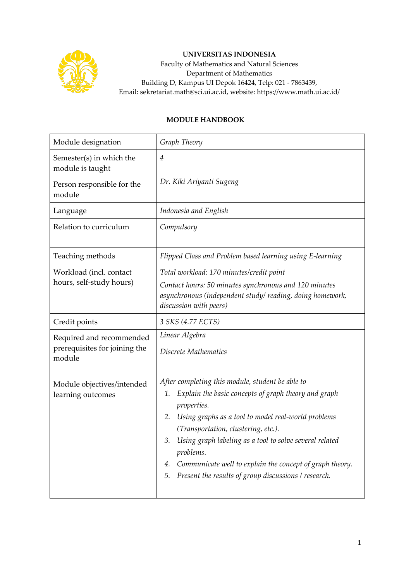

## **UNIVERSITAS INDONESIA**

Faculty of Mathematics and Natural Sciences Department of Mathematics Building D, Kampus UI Depok 16424, Telp: 021 - 7863439, Email: sekretariat.math@sci.ui.ac.id, website: https://www.math.ui.ac.id/

## **MODULE HANDBOOK**

| Module designation                                                  | Graph Theory                                                                                                                                                                                                                                                                                                                                                                                                                                    |  |  |
|---------------------------------------------------------------------|-------------------------------------------------------------------------------------------------------------------------------------------------------------------------------------------------------------------------------------------------------------------------------------------------------------------------------------------------------------------------------------------------------------------------------------------------|--|--|
| Semester(s) in which the<br>module is taught                        | 4                                                                                                                                                                                                                                                                                                                                                                                                                                               |  |  |
| Person responsible for the<br>module                                | Dr. Kiki Ariyanti Sugeng                                                                                                                                                                                                                                                                                                                                                                                                                        |  |  |
| Language                                                            | Indonesia and English                                                                                                                                                                                                                                                                                                                                                                                                                           |  |  |
| Relation to curriculum                                              | Compulsory                                                                                                                                                                                                                                                                                                                                                                                                                                      |  |  |
| Teaching methods                                                    | Flipped Class and Problem based learning using E-learning                                                                                                                                                                                                                                                                                                                                                                                       |  |  |
| Workload (incl. contact<br>hours, self-study hours)                 | Total workload: 170 minutes/credit point<br>Contact hours: 50 minutes synchronous and 120 minutes<br>asynchronous (independent study/reading, doing homework,<br>discussion with peers)                                                                                                                                                                                                                                                         |  |  |
| Credit points                                                       | 3 SKS (4.77 ECTS)                                                                                                                                                                                                                                                                                                                                                                                                                               |  |  |
| Required and recommended<br>prerequisites for joining the<br>module | Linear Algebra<br>Discrete Mathematics                                                                                                                                                                                                                                                                                                                                                                                                          |  |  |
| Module objectives/intended<br>learning outcomes                     | After completing this module, student be able to<br>Explain the basic concepts of graph theory and graph<br>1.<br>properties.<br>Using graphs as a tool to model real-world problems<br>2.<br>(Transportation, clustering, etc.).<br>Using graph labeling as a tool to solve several related<br>3.<br>problems.<br>Communicate well to explain the concept of graph theory.<br>4.<br>Present the results of group discussions / research.<br>5. |  |  |